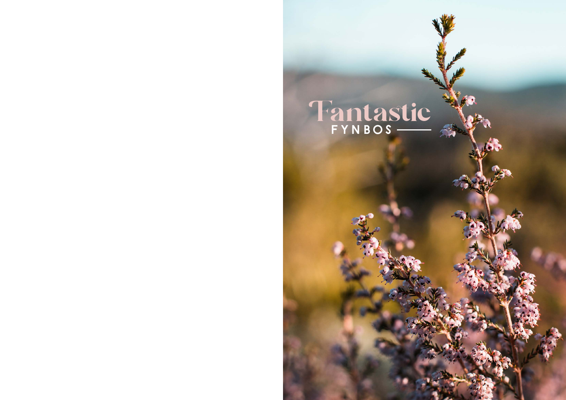# Fantastic Fynbos